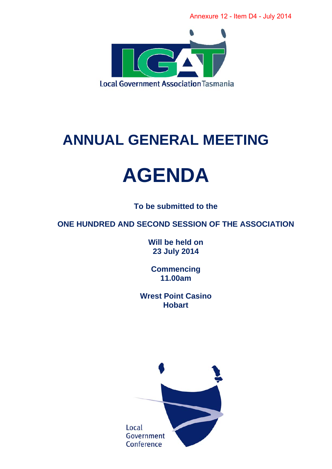

## **ANNUAL GENERAL MEETING**

# **AGENDA**

**To be submitted to the** 

**ONE HUNDRED AND SECOND SESSION OF THE ASSOCIATION** 

**Will be held on 23 July 2014** 

**Commencing 11.00am** 

**Wrest Point Casino Hobart** 

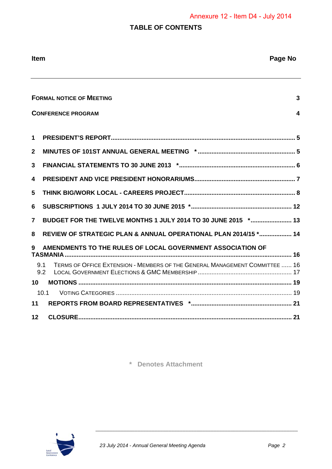### **TABLE OF CONTENTS**

| <b>Item</b>  | Page No                                                                                   |
|--------------|-------------------------------------------------------------------------------------------|
|              |                                                                                           |
|              | <b>FORMAL NOTICE OF MEETING</b><br>3                                                      |
|              | <b>CONFERENCE PROGRAM</b><br>4                                                            |
| 1            |                                                                                           |
| $\mathbf{2}$ |                                                                                           |
| 3            |                                                                                           |
| 4            |                                                                                           |
| 5            |                                                                                           |
| 6            |                                                                                           |
| 7            | BUDGET FOR THE TWELVE MONTHS 1 JULY 2014 TO 30 JUNE 2015 * 13                             |
| 8            | REVIEW OF STRATEGIC PLAN & ANNUAL OPERATIONAL PLAN 2014/15 * 14                           |
| 9            | AMENDMENTS TO THE RULES OF LOCAL GOVERNMENT ASSOCIATION OF                                |
|              | TERMS OF OFFICE EXTENSION - MEMBERS OF THE GENERAL MANAGEMENT COMMITTEE  16<br>9.1<br>9.2 |
| 10           |                                                                                           |
| 11           | 10.1                                                                                      |
| $12 \,$      |                                                                                           |

**\* Denotes Attachment** 

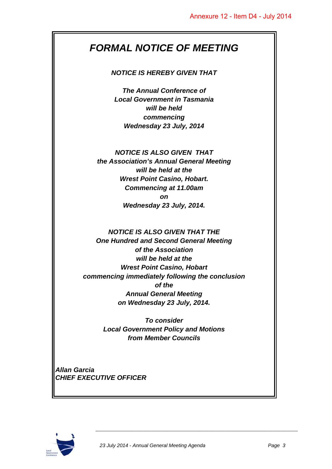## *FORMAL NOTICE OF MEETING*

#### *NOTICE IS HEREBY GIVEN THAT*

*The Annual Conference of Local Government in Tasmania will be held commencing Wednesday 23 July, 2014* 

#### *NOTICE IS ALSO GIVEN THAT*

*the Association's Annual General Meeting will be held at the Wrest Point Casino, Hobart. Commencing at 11.00am on Wednesday 23 July, 2014.* 

#### *NOTICE IS ALSO GIVEN THAT THE One Hundred and Second General Meeting of the Association will be held at the Wrest Point Casino, Hobart commencing immediately following the conclusion of the Annual General Meeting on Wednesday 23 July, 2014.*

*To consider Local Government Policy and Motions from Member Councils* 

*Allan Garcia CHIEF EXECUTIVE OFFICER* 

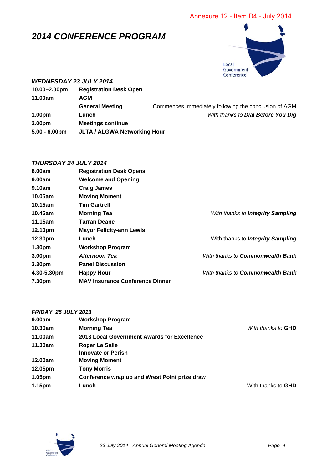## *2014 CONFERENCE PROGRAM*



#### *WEDNESDAY 23 JULY 2014*

| 10.00-2.00pm       | <b>Registration Desk Open</b>       |                                                       |  |
|--------------------|-------------------------------------|-------------------------------------------------------|--|
| 11.00am            | <b>AGM</b>                          |                                                       |  |
|                    | <b>General Meeting</b>              | Commences immediately following the conclusion of AGM |  |
| 1.00 <sub>pm</sub> | Lunch                               | With thanks to Dial Before You Dig                    |  |
| 2.00 <sub>pm</sub> |                                     |                                                       |  |
| $5.00 - 6.00$ pm   | <b>JLTA / ALGWA Networking Hour</b> |                                                       |  |

#### *THURSDAY 24 JULY 2014*

| 8.00am             | <b>Registration Desk Opens</b>         |                                          |
|--------------------|----------------------------------------|------------------------------------------|
| 9.00am             | <b>Welcome and Opening</b>             |                                          |
| 9.10am             | <b>Craig James</b>                     |                                          |
| 10.05am            | <b>Moving Moment</b>                   |                                          |
| 10.15am            | <b>Tim Gartrell</b>                    |                                          |
| 10.45am            | <b>Morning Tea</b>                     | With thanks to Integrity Sampling        |
| 11.15am            | Tarran Deane                           |                                          |
| 12.10pm            | <b>Mayor Felicity-ann Lewis</b>        |                                          |
| 12.30pm            | Lunch                                  | With thanks to <b>Integrity Sampling</b> |
| 1.30 <sub>pm</sub> | <b>Workshop Program</b>                |                                          |
| 3.00pm             | Afternoon Tea                          | With thanks to <b>Commonwealth Bank</b>  |
| 3.30pm             | <b>Panel Discussion</b>                |                                          |
| 4.30-5.30pm        | <b>Happy Hour</b>                      | With thanks to <b>Commonwealth Bank</b>  |
| 7.30pm             | <b>MAV Insurance Conference Dinner</b> |                                          |

| <b>FRIDAY 25 JULY 2013</b> |                                               |                           |
|----------------------------|-----------------------------------------------|---------------------------|
| 9.00am                     | <b>Workshop Program</b>                       |                           |
| 10.30am                    | <b>Morning Tea</b>                            | With thanks to <b>GHD</b> |
| 11.00am                    | 2013 Local Government Awards for Excellence   |                           |
| 11.30am                    | Roger La Salle                                |                           |
|                            | <b>Innovate or Perish</b>                     |                           |
| 12.00am                    | <b>Moving Moment</b>                          |                           |
| 12.05pm                    | <b>Tony Morris</b>                            |                           |
| 1.05pm                     | Conference wrap up and Wrest Point prize draw |                           |
| 1.15pm                     | Lunch                                         | With thanks to GHD        |
|                            |                                               |                           |

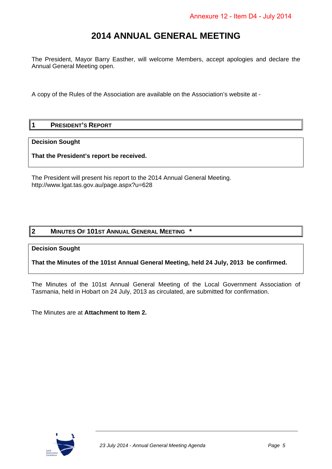## **2014 ANNUAL GENERAL MEETING**

The President, Mayor Barry Easther, will welcome Members, accept apologies and declare the Annual General Meeting open.

A copy of the Rules of the Association are available on the Association's website at -

#### **1 PRESIDENT'S REPORT**

#### **Decision Sought**

**That the President's report be received.** 

The President will present his report to the 2014 Annual General Meeting. http://www.lgat.tas.gov.au/page.aspx?u=628

#### **2 MINUTES OF 101ST ANNUAL GENERAL MEETING \***

#### **Decision Sought**

**That the Minutes of the 101st Annual General Meeting, held 24 July, 2013 be confirmed.** 

The Minutes of the 101st Annual General Meeting of the Local Government Association of Tasmania, held in Hobart on 24 July, 2013 as circulated, are submitted for confirmation.

The Minutes are at **Attachment to Item 2.** 

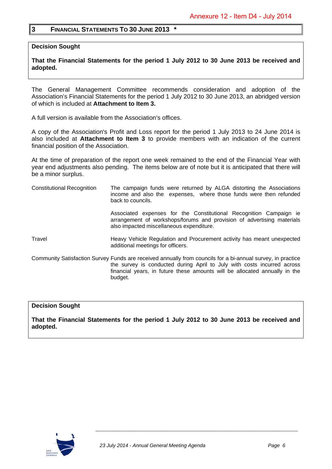#### **3 FINANCIAL STATEMENTS TO 30 JUNE 2013 \***

**Decision Sought** 

**That the Financial Statements for the period 1 July 2012 to 30 June 2013 be received and adopted.** 

The General Management Committee recommends consideration and adoption of the Association's Financial Statements for the period 1 July 2012 to 30 June 2013, an abridged version of which is included at **Attachment to Item 3.** 

A full version is available from the Association's offices.

A copy of the Association's Profit and Loss report for the period 1 July 2013 to 24 June 2014 is also included at **Attachment to Item 3** to provide members with an indication of the current financial position of the Association.

At the time of preparation of the report one week remained to the end of the Financial Year with year end adjustments also pending. The items below are of note but it is anticipated that there will be a minor surplus.

Constitutional Recognition The campaign funds were returned by ALGA distorting the Associations income and also the expenses, where those funds were then refunded back to councils.

Associated expenses for the Constitutional Recognition Campaign ie arrangement of workshops/forums and provision of advertising materials also impacted miscellaneous expenditure.

Travel Heavy Vehicle Regulation and Procurement activity has meant unexpected additional meetings for officers.

Community Satisfaction Survey Funds are received annually from councils for a bi-annual survey, in practice the survey is conducted during April to July with costs incurred across financial years, in future these amounts will be allocated annually in the budget.

#### **Decision Sought**

**That the Financial Statements for the period 1 July 2012 to 30 June 2013 be received and adopted.** 

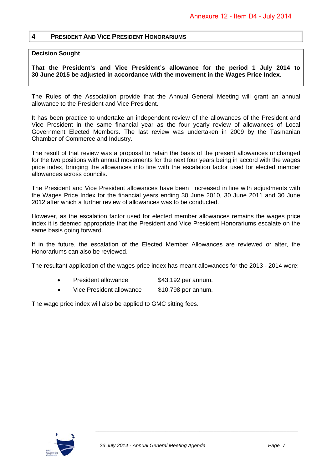#### **4 PRESIDENT AND VICE PRESIDENT HONORARIUMS**

#### **Decision Sought**

**That the President's and Vice President's allowance for the period 1 July 2014 to 30 June 2015 be adjusted in accordance with the movement in the Wages Price Index.** 

The Rules of the Association provide that the Annual General Meeting will grant an annual allowance to the President and Vice President.

It has been practice to undertake an independent review of the allowances of the President and Vice President in the same financial year as the four yearly review of allowances of Local Government Elected Members. The last review was undertaken in 2009 by the Tasmanian Chamber of Commerce and Industry.

The result of that review was a proposal to retain the basis of the present allowances unchanged for the two positions with annual movements for the next four years being in accord with the wages price index, bringing the allowances into line with the escalation factor used for elected member allowances across councils.

The President and Vice President allowances have been increased in line with adjustments with the Wages Price Index for the financial years ending 30 June 2010, 30 June 2011 and 30 June 2012 after which a further review of allowances was to be conducted.

However, as the escalation factor used for elected member allowances remains the wages price index it is deemed appropriate that the President and Vice President Honorariums escalate on the same basis going forward.

If in the future, the escalation of the Elected Member Allowances are reviewed or alter, the Honorariums can also be reviewed.

The resultant application of the wages price index has meant allowances for the 2013 - 2014 were:

- President allowance \$43,192 per annum.
- Vice President allowance \$10,798 per annum.

The wage price index will also be applied to GMC sitting fees.

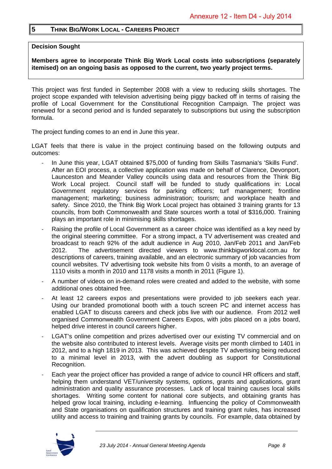#### **5 THINK BIG/WORK LOCAL - CAREERS PROJECT**

#### **Decision Sought**

**Members agree to incorporate Think Big Work Local costs into subscriptions (separately itemised) on an ongoing basis as opposed to the current, two yearly project terms.** 

This project was first funded in September 2008 with a view to reducing skills shortages. The project scope expanded with television advertising being piggy backed off in terms of raising the profile of Local Government for the Constitutional Recognition Campaign. The project was renewed for a second period and is funded separately to subscriptions but using the subscription formula.

The project funding comes to an end in June this year.

LGAT feels that there is value in the project continuing based on the following outputs and outcomes:

- ‐ In June this year, LGAT obtained \$75,000 of funding from Skills Tasmania's 'Skills Fund'. After an EOI process, a collective application was made on behalf of Clarence, Devonport, Launceston and Meander Valley councils using data and resources from the Think Big Work Local project. Council staff will be funded to study qualifications in: Local Government regulatory services for parking officers; turf management; frontline management; marketing; business administration; tourism; and workplace health and safety. Since 2010, the Think Big Work Local project has obtained 3 training grants for 13 councils, from both Commonwealth and State sources worth a total of \$316,000. Training plays an important role in minimising skills shortages.
- ‐ Raising the profile of Local Government as a career choice was identified as a key need by the original steering committee. For a strong impact, a TV advertisement was created and broadcast to reach 92% of the adult audience in Aug 2010, Jan/Feb 2011 and Jan/Feb 2012. The advertisement directed viewers to www.thinkbigworklocal.com.au for descriptions of careers, training available, and an electronic summary of job vacancies from council websites. TV advertising took website hits from 0 visits a month, to an average of 1110 visits a month in 2010 and 1178 visits a month in 2011 (Figure 1).
- ‐ A number of videos on in-demand roles were created and added to the website, with some additional ones obtained free.
- At least 12 careers expos and presentations were provided to job seekers each year. Using our branded promotional booth with a touch screen PC and internet access has enabled LGAT to discuss careers and check jobs live with our audience. From 2012 well organised Commonwealth Government Careers Expos, with jobs placed on a jobs board, helped drive interest in council careers higher.
- LGAT's online competition and prizes advertised over our existing TV commercial and on the website also contributed to interest levels. Average visits per month climbed to 1401 in 2012, and to a high 1819 in 2013. This was achieved despite TV advertising being reduced to a minimal level in 2013, with the advert doubling as support for Constitutional Recognition.
- ‐ Each year the project officer has provided a range of advice to council HR officers and staff, helping them understand VET/university systems, options, grants and applications, grant administration and quality assurance processes. Lack of local training causes local skills shortages. Writing some content for national core subjects, and obtaining grants has helped grow local training, including e-learning. Influencing the policy of Commonwealth and State organisations on qualification structures and training grant rules, has increased utility and access to training and training grants by councils. For example, data obtained by

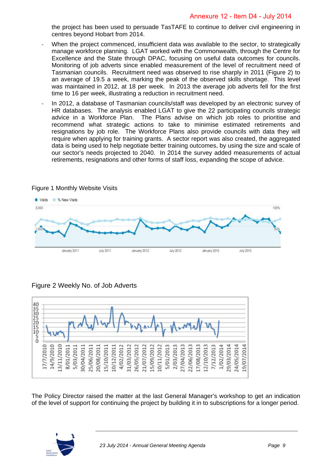the project has been used to persuade TasTAFE to continue to deliver civil engineering in centres beyond Hobart from 2014.

- When the project commenced, insufficient data was available to the sector, to strategically manage workforce planning. LGAT worked with the Commonwealth, through the Centre for Excellence and the State through DPAC, focusing on useful data outcomes for councils. Monitoring of job adverts since enabled measurement of the level of recruitment need of Tasmanian councils. Recruitment need was observed to rise sharply in 2011 (Figure 2) to an average of 19.5 a week, marking the peak of the observed skills shortage. This level was maintained in 2012, at 18 per week. In 2013 the average job adverts fell for the first time to 16 per week, illustrating a reduction in recruitment need.
- ‐ In 2012, a database of Tasmanian councils/staff was developed by an electronic survey of HR databases. The analysis enabled LGAT to give the 22 participating councils strategic advice in a Workforce Plan. The Plans advise on which job roles to prioritise and recommend what strategic actions to take to minimise estimated retirements and resignations by job role. The Workforce Plans also provide councils with data they will require when applying for training grants. A sector report was also created, the aggregated data is being used to help negotiate better training outcomes, by using the size and scale of our sector's needs projected to 2040. In 2014 the survey added measurements of actual retirements, resignations and other forms of staff loss, expanding the scope of advice.



Figure 1 Monthly Website Visits

#### Figure 2 Weekly No. of Job Adverts



The Policy Director raised the matter at the last General Manager's workshop to get an indication of the level of support for continuing the project by building it in to subscriptions for a longer period.

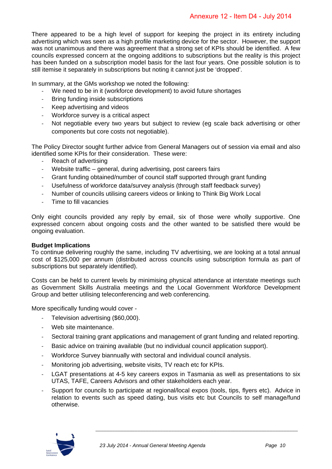There appeared to be a high level of support for keeping the project in its entirety including advertising which was seen as a high profile marketing device for the sector. However, the support was not unanimous and there was agreement that a strong set of KPIs should be identified. A few councils expressed concern at the ongoing additions to subscriptions but the reality is this project has been funded on a subscription model basis for the last four years. One possible solution is to still itemise it separately in subscriptions but noting it cannot just be 'dropped'.

In summary, at the GMs workshop we noted the following:

- We need to be in it (workforce development) to avoid future shortages
- ‐ Bring funding inside subscriptions
- ‐ Keep advertising and videos
- ‐ Workforce survey is a critical aspect
- ‐ Not negotiable every two years but subject to review (eg scale back advertising or other components but core costs not negotiable).

The Policy Director sought further advice from General Managers out of session via email and also identified some KPIs for their consideration. These were:

- ‐ Reach of advertising
- Website traffic general, during advertising, post careers fairs
- ‐ Grant funding obtained/number of council staff supported through grant funding
- ‐ Usefulness of workforce data/survey analysis (through staff feedback survey)
- ‐ Number of councils utilising careers videos or linking to Think Big Work Local
- ‐ Time to fill vacancies

Only eight councils provided any reply by email, six of those were wholly supportive. One expressed concern about ongoing costs and the other wanted to be satisfied there would be ongoing evaluation.

#### **Budget Implications**

To continue delivering roughly the same, including TV advertising, we are looking at a total annual cost of \$125,000 per annum (distributed across councils using subscription formula as part of subscriptions but separately identified).

Costs can be held to current levels by minimising physical attendance at interstate meetings such as Government Skills Australia meetings and the Local Government Workforce Development Group and better utilising teleconferencing and web conferencing.

More specifically funding would cover -

- ‐ Television advertising (\$60,000).
- Web site maintenance.
- Sectoral training grant applications and management of grant funding and related reporting.
- ‐ Basic advice on training available (but no individual council application support).
- ‐ Workforce Survey biannually with sectoral and individual council analysis.
- ‐ Monitoring job advertising, website visits, TV reach etc for KPIs.
- LGAT presentations at 4-5 key careers expos in Tasmania as well as presentations to six UTAS, TAFE, Careers Advisors and other stakeholders each year.
- Support for councils to participate at regional/local expos (tools, tips, flyers etc). Advice in relation to events such as speed dating, bus visits etc but Councils to self manage/fund otherwise.

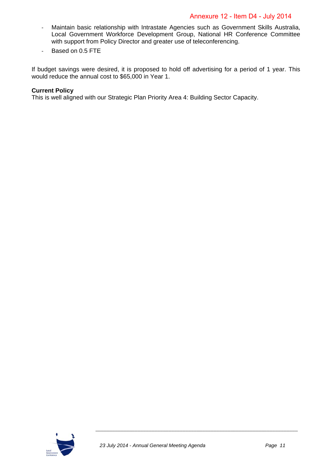- ‐ Maintain basic relationship with Intrastate Agencies such as Government Skills Australia, Local Government Workforce Development Group, National HR Conference Committee with support from Policy Director and greater use of teleconferencing.
- ‐ Based on 0.5 FTE

If budget savings were desired, it is proposed to hold off advertising for a period of 1 year. This would reduce the annual cost to \$65,000 in Year 1.

#### **Current Policy**

This is well aligned with our Strategic Plan Priority Area 4: Building Sector Capacity.

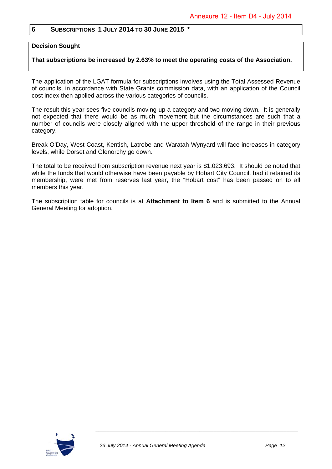#### **6 SUBSCRIPTIONS 1 JULY 2014 TO 30 JUNE 2015 \***

#### **Decision Sought**

#### **That subscriptions be increased by 2.63% to meet the operating costs of the Association.**

The application of the LGAT formula for subscriptions involves using the Total Assessed Revenue of councils, in accordance with State Grants commission data, with an application of the Council cost index then applied across the various categories of councils.

The result this year sees five councils moving up a category and two moving down. It is generally not expected that there would be as much movement but the circumstances are such that a number of councils were closely aligned with the upper threshold of the range in their previous category.

Break O'Day, West Coast, Kentish, Latrobe and Waratah Wynyard will face increases in category levels, while Dorset and Glenorchy go down.

The total to be received from subscription revenue next year is \$1,023,693. It should be noted that while the funds that would otherwise have been payable by Hobart City Council, had it retained its membership, were met from reserves last year, the "Hobart cost" has been passed on to all members this year.

The subscription table for councils is at **Attachment to Item 6** and is submitted to the Annual General Meeting for adoption.

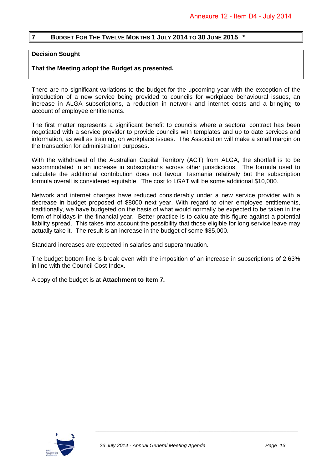#### **7 BUDGET FOR THE TWELVE MONTHS 1 JULY 2014 TO 30 JUNE 2015 \***

#### **Decision Sought**

#### **That the Meeting adopt the Budget as presented.**

There are no significant variations to the budget for the upcoming year with the exception of the introduction of a new service being provided to councils for workplace behavioural issues, an increase in ALGA subscriptions, a reduction in network and internet costs and a bringing to account of employee entitlements.

The first matter represents a significant benefit to councils where a sectoral contract has been negotiated with a service provider to provide councils with templates and up to date services and information, as well as training, on workplace issues. The Association will make a small margin on the transaction for administration purposes.

With the withdrawal of the Australian Capital Territory (ACT) from ALGA, the shortfall is to be accommodated in an increase in subscriptions across other jurisdictions. The formula used to calculate the additional contribution does not favour Tasmania relatively but the subscription formula overall is considered equitable. The cost to LGAT will be some additional \$10,000.

Network and internet charges have reduced considerably under a new service provider with a decrease in budget proposed of \$8000 next year. With regard to other employee entitlements, traditionally, we have budgeted on the basis of what would normally be expected to be taken in the form of holidays in the financial year. Better practice is to calculate this figure against a potential liability spread. This takes into account the possibility that those eligible for long service leave may actually take it. The result is an increase in the budget of some \$35,000.

Standard increases are expected in salaries and superannuation.

The budget bottom line is break even with the imposition of an increase in subscriptions of 2.63% in line with the Council Cost Index.

A copy of the budget is at **Attachment to Item 7.**

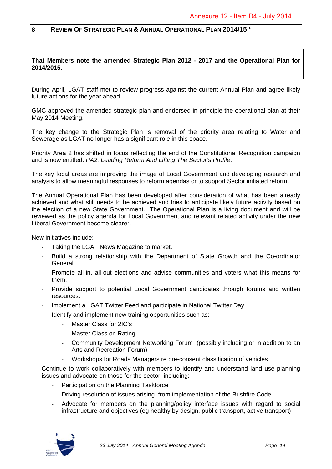#### **8 REVIEW OF STRATEGIC PLAN & ANNUAL OPERATIONAL PLAN 2014/15 \***

**That Members note the amended Strategic Plan 2012 - 2017 and the Operational Plan for 2014/2015.** 

During April, LGAT staff met to review progress against the current Annual Plan and agree likely future actions for the year ahead.

GMC approved the amended strategic plan and endorsed in principle the operational plan at their May 2014 Meeting.

The key change to the Strategic Plan is removal of the priority area relating to Water and Sewerage as LGAT no longer has a significant role in this space.

Priority Area 2 has shifted in focus reflecting the end of the Constitutional Recognition campaign and is now entitled: *PA2: Leading Reform And Lifting The Sector's Profile*.

The key focal areas are improving the image of Local Government and developing research and analysis to allow meaningful responses to reform agendas or to support Sector initiated reform.

The Annual Operational Plan has been developed after consideration of what has been already achieved and what still needs to be achieved and tries to anticipate likely future activity based on the election of a new State Government. The Operational Plan is a living document and will be reviewed as the policy agenda for Local Government and relevant related activity under the new Liberal Government become clearer.

New initiatives include:

- Taking the LGAT News Magazine to market.
- ‐ Build a strong relationship with the Department of State Growth and the Co-ordinator General
- ‐ Promote all-in, all-out elections and advise communities and voters what this means for them.
- ‐ Provide support to potential Local Government candidates through forums and written resources.
- Implement a LGAT Twitter Feed and participate in National Twitter Day.
- Identify and implement new training opportunities such as:
	- ‐ Master Class for 2IC's
	- **Master Class on Rating**
	- ‐ Community Development Networking Forum (possibly including or in addition to an Arts and Recreation Forum)
	- ‐ Workshops for Roads Managers re pre-consent classification of vehicles
- ‐ Continue to work collaboratively with members to identify and understand land use planning issues and advocate on those for the sector including:
	- ‐ Participation on the Planning Taskforce
	- ‐ Driving resolution of issues arising from implementation of the Bushfire Code
	- ‐ Advocate for members on the planning/policy interface issues with regard to social infrastructure and objectives (eg healthy by design, public transport, active transport)

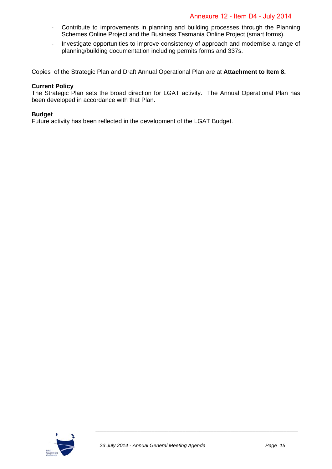- ‐ Contribute to improvements in planning and building processes through the Planning Schemes Online Project and the Business Tasmania Online Project (smart forms).
- ‐ Investigate opportunities to improve consistency of approach and modernise a range of planning/building documentation including permits forms and 337s.

Copies of the Strategic Plan and Draft Annual Operational Plan are at **Attachment to Item 8.** 

#### **Current Policy**

The Strategic Plan sets the broad direction for LGAT activity. The Annual Operational Plan has been developed in accordance with that Plan.

#### **Budget**

Future activity has been reflected in the development of the LGAT Budget.

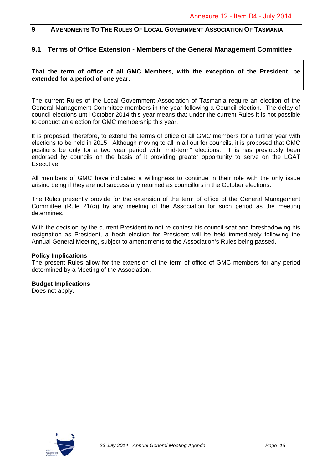#### **9 AMENDMENTS TO THE RULES OF LOCAL GOVERNMENT ASSOCIATION OF TASMANIA**

#### **9.1 Terms of Office Extension - Members of the General Management Committee**

#### **That the term of office of all GMC Members, with the exception of the President, be extended for a period of one year.**

The current Rules of the Local Government Association of Tasmania require an election of the General Management Committee members in the year following a Council election. The delay of council elections until October 2014 this year means that under the current Rules it is not possible to conduct an election for GMC membership this year.

It is proposed, therefore, to extend the terms of office of all GMC members for a further year with elections to be held in 2015. Although moving to all in all out for councils, it is proposed that GMC positions be only for a two year period with "mid-term" elections. This has previously been endorsed by councils on the basis of it providing greater opportunity to serve on the LGAT Executive.

All members of GMC have indicated a willingness to continue in their role with the only issue arising being if they are not successfully returned as councillors in the October elections.

The Rules presently provide for the extension of the term of office of the General Management Committee (Rule 21(c)) by any meeting of the Association for such period as the meeting determines.

With the decision by the current President to not re-contest his council seat and foreshadowing his resignation as President, a fresh election for President will be held immediately following the Annual General Meeting, subject to amendments to the Association's Rules being passed.

#### **Policy Implications**

The present Rules allow for the extension of the term of office of GMC members for any period determined by a Meeting of the Association.

## **Budget Implications**

Does not apply.

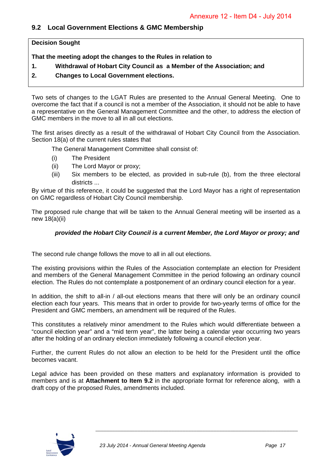#### **9.2 Local Government Elections & GMC Membership**

**Decision Sought** 

**That the meeting adopt the changes to the Rules in relation to** 

- **1. Withdrawal of Hobart City Council as a Member of the Association; and**
- **2. Changes to Local Government elections.**

Two sets of changes to the LGAT Rules are presented to the Annual General Meeting. One to overcome the fact that if a council is not a member of the Association, it should not be able to have a representative on the General Management Committee and the other, to address the election of GMC members in the move to all in all out elections.

The first arises directly as a result of the withdrawal of Hobart City Council from the Association. Section 18(a) of the current rules states that

The General Management Committee shall consist of:

- (i) The President
- (ii) The Lord Mayor or proxy;
- (iii) Six members to be elected, as provided in sub-rule (b), from the three electoral districts ...

By virtue of this reference, it could be suggested that the Lord Mayor has a right of representation on GMC regardless of Hobart City Council membership.

The proposed rule change that will be taken to the Annual General meeting will be inserted as a new 18(a)(ii)

#### *provided the Hobart City Council is a current Member, the Lord Mayor or proxy; and*

The second rule change follows the move to all in all out elections.

The existing provisions within the Rules of the Association contemplate an election for President and members of the General Management Committee in the period following an ordinary council election. The Rules do not contemplate a postponement of an ordinary council election for a year.

In addition, the shift to all-in / all-out elections means that there will only be an ordinary council election each four years. This means that in order to provide for two-yearly terms of office for the President and GMC members, an amendment will be required of the Rules.

This constitutes a relatively minor amendment to the Rules which would differentiate between a "council election year" and a "mid term year", the latter being a calendar year occurring two years after the holding of an ordinary election immediately following a council election year.

Further, the current Rules do not allow an election to be held for the President until the office becomes vacant.

Legal advice has been provided on these matters and explanatory information is provided to members and is at **Attachment to Item 9.2** in the appropriate format for reference along, with a draft copy of the proposed Rules, amendments included.

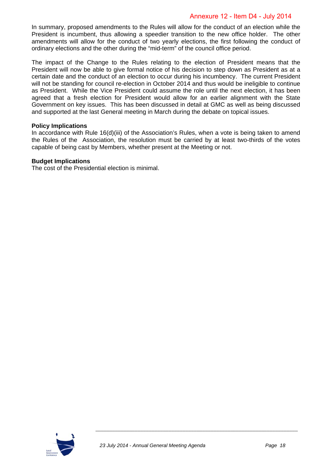In summary, proposed amendments to the Rules will allow for the conduct of an election while the President is incumbent, thus allowing a speedier transition to the new office holder. The other amendments will allow for the conduct of two yearly elections, the first following the conduct of ordinary elections and the other during the "mid-term" of the council office period.

The impact of the Change to the Rules relating to the election of President means that the President will now be able to give formal notice of his decision to step down as President as at a certain date and the conduct of an election to occur during his incumbency. The current President will not be standing for council re-election in October 2014 and thus would be ineligible to continue as President. While the Vice President could assume the role until the next election, it has been agreed that a fresh election for President would allow for an earlier alignment with the State Government on key issues. This has been discussed in detail at GMC as well as being discussed and supported at the last General meeting in March during the debate on topical issues.

#### **Policy Implications**

In accordance with Rule 16(d)(iii) of the Association's Rules, when a vote is being taken to amend the Rules of the Association, the resolution must be carried by at least two-thirds of the votes capable of being cast by Members, whether present at the Meeting or not.

#### **Budget Implications**

The cost of the Presidential election is minimal.

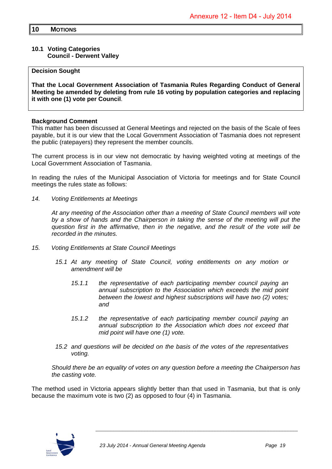#### **10.1 Voting Categories Council - Derwent Valley**

#### **Decision Sought**

**That the Local Government Association of Tasmania Rules Regarding Conduct of General Meeting be amended by deleting from rule 16 voting by population categories and replacing it with one (1) vote per Council**.

#### **Background Comment**

This matter has been discussed at General Meetings and rejected on the basis of the Scale of fees payable, but it is our view that the Local Government Association of Tasmania does not represent the public (ratepayers) they represent the member councils.

The current process is in our view not democratic by having weighted voting at meetings of the Local Government Association of Tasmania.

In reading the rules of the Municipal Association of Victoria for meetings and for State Council meetings the rules state as follows:

*14. Voting Entitlements at Meetings* 

*At any meeting of the Association other than a meeting of State Council members will vote by a show of hands and the Chairperson in taking the sense of the meeting will put the question first in the affirmative, then in the negative, and the result of the vote will be recorded in the minutes.* 

- *15. Voting Entitlements at State Council Meetings* 
	- *15.1 At any meeting of State Council, voting entitlements on any motion or amendment will be* 
		- *15.1.1 the representative of each participating member council paying an annual subscription to the Association which exceeds the mid point between the lowest and highest subscriptions will have two (2) votes; and*
		- *15.1.2 the representative of each participating member council paying an annual subscription to the Association which does not exceed that mid point will have one (1) vote.*
	- *15.2 and questions will be decided on the basis of the votes of the representatives voting.*

 *Should there be an equality of votes on any question before a meeting the Chairperson has the casting vote.* 

The method used in Victoria appears slightly better than that used in Tasmania, but that is only because the maximum vote is two (2) as opposed to four (4) in Tasmania.

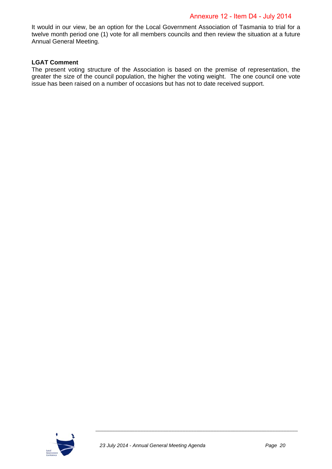It would in our view, be an option for the Local Government Association of Tasmania to trial for a twelve month period one (1) vote for all members councils and then review the situation at a future Annual General Meeting.

#### **LGAT Comment**

The present voting structure of the Association is based on the premise of representation, the greater the size of the council population, the higher the voting weight. The one council one vote issue has been raised on a number of occasions but has not to date received support.